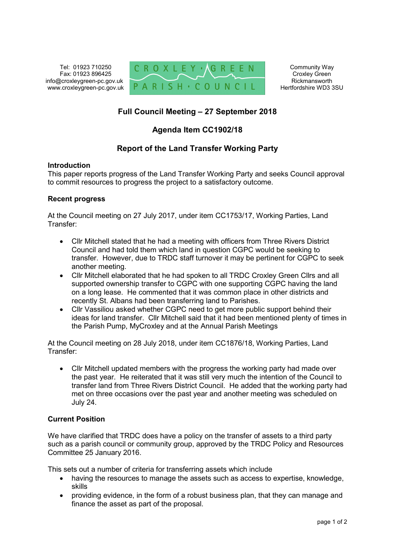Tel: 01923 710250 Fax: 01923 896425 info@croxleygreen-pc.gov.uk www.croxleygreen-pc.gov.uk



Community Way Croxley Green Rickmansworth Hertfordshire WD3 3SU

# **Full Council Meeting – 27 September 2018**

## **Agenda Item CC1902/18**

## **Report of the Land Transfer Working Party**

### **Introduction**

This paper reports progress of the Land Transfer Working Party and seeks Council approval to commit resources to progress the project to a satisfactory outcome.

### **Recent progress**

At the Council meeting on 27 July 2017, under item CC1753/17, Working Parties, Land Transfer:

- Cllr Mitchell stated that he had a meeting with officers from Three Rivers District Council and had told them which land in question CGPC would be seeking to transfer. However, due to TRDC staff turnover it may be pertinent for CGPC to seek another meeting.
- Cllr Mitchell elaborated that he had spoken to all TRDC Croxley Green Cllrs and all supported ownership transfer to CGPC with one supporting CGPC having the land on a long lease. He commented that it was common place in other districts and recently St. Albans had been transferring land to Parishes.
- Cllr Vassiliou asked whether CGPC need to get more public support behind their ideas for land transfer. Cllr Mitchell said that it had been mentioned plenty of times in the Parish Pump, MyCroxley and at the Annual Parish Meetings

At the Council meeting on 28 July 2018, under item CC1876/18, Working Parties, Land Transfer:

 Cllr Mitchell updated members with the progress the working party had made over the past year. He reiterated that it was still very much the intention of the Council to transfer land from Three Rivers District Council. He added that the working party had met on three occasions over the past year and another meeting was scheduled on July 24.

### **Current Position**

We have clarified that TRDC does have a policy on the transfer of assets to a third party such as a parish council or community group, approved by the TRDC Policy and Resources Committee 25 January 2016.

This sets out a number of criteria for transferring assets which include

- having the resources to manage the assets such as access to expertise, knowledge, skills
- providing evidence, in the form of a robust business plan, that they can manage and finance the asset as part of the proposal.